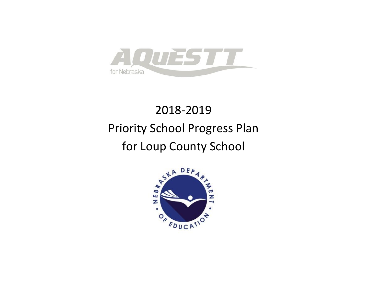

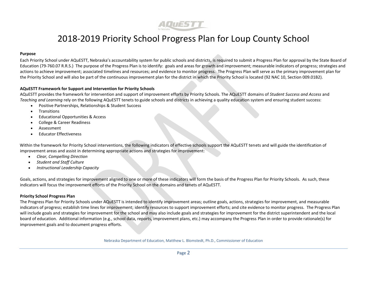

#### **Purpose**

Each Priority School under AQuESTT, Nebraska's accountability system for public schools and districts, is required to submit a Progress Plan for approval by the State Board of Education (79-760.07 R.R.S.) The purpose of the Progress Plan is to identify: goals and areas for growth and improvement; measurable indicators of progress; strategies and actions to achieve improvement; associated timelines and resources; and evidence to monitor progress. The Progress Plan will serve as the primary improvement plan for the Priority School and will also be part of the continuous improvement plan for the district in which the Priority School is located (92 NAC 10, Section 009.01B2).

#### **AQuESTT Framework for Support and Intervention for Priority Schools**

AQuESTT provides the framework for intervention and support of improvement efforts by Priority Schools. The AQuESTT domains of *Student Success and Access* and *Teaching and Learning* rely on the following AQuESTT tenets to guide schools and districts in achieving a quality education system and ensuring student success:

- Positive Partnerships, Relationships & Student Success
- **•** Transitions
- Educational Opportunities & Access
- College & Career Readiness
- Assessment
- Educator Effectiveness

Within the framework for Priority School interventions, the following indicators of effective schools support the AQuESTT tenets and will guide the identification of improvement areas and assist in determining appropriate actions and strategies for improvement:

- *Clear, Compelling Direction*
- *Student and Staff Culture*
- *Instructional Leadership Capacity*

Goals, actions, and strategies for improvement aligned to one or more of these indicators will form the basis of the Progress Plan for Priority Schools. As such, these indicators will focus the improvement efforts of the Priority School on the domains and tenets of AQuESTT.

#### **Priority School Progress Plan**

The Progress Plan for Priority Schools under AQuESTT is intended to identify improvement areas; outline goals, actions, strategies for improvement, and measurable indicators of progress; establish time lines for improvement; identify resources to support improvement efforts; and cite evidence to monitor progress. The Progress Plan will include goals and strategies for improvement for the school and may also include goals and strategies for improvement for the district superintendent and the local board of education. Additional information (e.g., school data, reports, improvement plans, etc.) may accompany the Progress Plan in order to provide rationale(s) for improvement goals and to document progress efforts.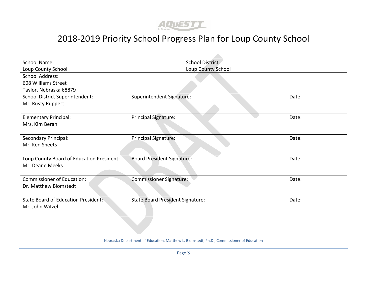

| <b>School Name:</b>                        | School District:                        |       |
|--------------------------------------------|-----------------------------------------|-------|
| Loup County School                         | Loup County School                      |       |
| <b>School Address:</b>                     |                                         |       |
| 608 Williams Street                        |                                         |       |
| Taylor, Nebraska 68879                     |                                         |       |
| School District Superintendent:            | Superintendent Signature:               | Date: |
| Mr. Rusty Ruppert                          |                                         |       |
|                                            |                                         |       |
| <b>Elementary Principal:</b>               | <b>Principal Signature:</b>             | Date: |
| Mrs. Kim Beran                             |                                         |       |
|                                            |                                         |       |
| <b>Secondary Principal:</b>                | <b>Principal Signature:</b>             | Date: |
| Mr. Ken Sheets                             |                                         |       |
|                                            |                                         |       |
| Loup County Board of Education President:  | <b>Board President Signature:</b>       | Date: |
| Mr. Deane Meeks                            |                                         |       |
|                                            |                                         |       |
| <b>Commissioner of Education:</b>          | <b>Commissioner Signature:</b>          | Date: |
| Dr. Matthew Blomstedt                      |                                         |       |
|                                            |                                         |       |
| <b>State Board of Education President:</b> | <b>State Board President Signature:</b> | Date: |
| Mr. John Witzel                            |                                         |       |
|                                            |                                         |       |
|                                            |                                         |       |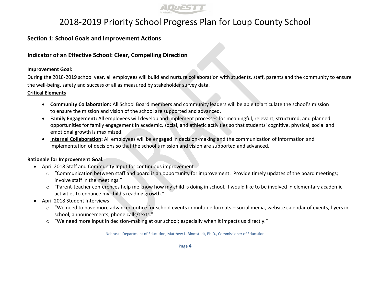

#### **Section 1: School Goals and Improvement Actions**

#### **Indicator of an Effective School: Clear, Compelling Direction**

#### **Improvement Goal:**

During the 2018-2019 school year, all employees will build and nurture collaboration with students, staff, parents and the community to ensure the well-being, safety and success of all as measured by stakeholder survey data.

#### **Critical Elements**

- **Community Collaboration:** All School Board members and community leaders will be able to articulate the school's mission to ensure the mission and vision of the school are supported and advanced.
- **Family Engagement:** All employees will develop and implement processes for meaningful, relevant, structured, and planned opportunities for family engagement in academic, social, and athletic activities so that students' cognitive, physical, social and emotional growth is maximized.
- **Internal Collaboration:** All employees will be engaged in decision-making and the communication of information and implementation of decisions so that the school's mission and vision are supported and advanced.

#### **Rationale for Improvement Goal:**

- April 2018 Staff and Community Input for continuous improvement
	- $\circ$  "Communication between staff and board is an opportunity for improvement. Provide timely updates of the board meetings; involve staff in the meetings."
	- $\circ$  "Parent-teacher conferences help me know how my child is doing in school. I would like to be involved in elementary academic activities to enhance my child's reading growth."
- April 2018 Student Interviews
	- $\circ$  "We need to have more advanced notice for school events in multiple formats social media, website calendar of events, flyers in school, announcements, phone calls/texts."
	- o "We need more input in decision-making at our school; especially when it impacts us directly."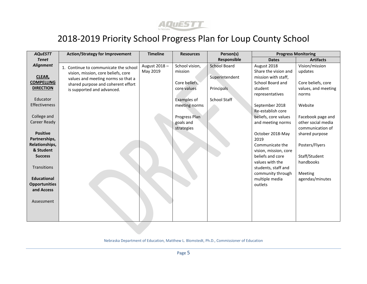

| <b>AQUESTT</b>              | <b>Action/Strategy for Improvement</b>                                    | <b>Timeline</b> | <b>Resources</b> | Person(s)           |                                             | <b>Progress Monitoring</b>   |
|-----------------------------|---------------------------------------------------------------------------|-----------------|------------------|---------------------|---------------------------------------------|------------------------------|
| <b>Tenet</b>                |                                                                           |                 |                  | Responsible         | <b>Dates</b>                                | <b>Artifacts</b>             |
| <b>Alignment</b>            | 1. Continue to communicate the school                                     | August 2018-    | School vision,   | <b>School Board</b> | August 2018                                 | Vision/mission               |
| CLEAR,                      | vision, mission, core beliefs, core<br>values and meeting norms so that a | May 2019        | mission          | Superintendent      | Share the vision and<br>mission with staff, | updates                      |
| <b>COMPELLING</b>           | shared purpose and coherent effort                                        |                 | Core beliefs,    |                     | School Board and                            | Core beliefs, core           |
| <b>DIRECTION</b>            | is supported and advanced.                                                |                 | core values      | Principals          | student<br>representatives                  | values, and meeting<br>norms |
| Educator                    |                                                                           |                 | Examples of      | School Staff        |                                             |                              |
| Effectiveness               |                                                                           |                 | meeting norms    |                     | September 2018                              | Website                      |
|                             |                                                                           |                 |                  |                     | Re-establish core                           |                              |
| College and                 |                                                                           |                 | Progress Plan    |                     | beliefs, core values                        | Facebook page and            |
| <b>Career Ready</b>         |                                                                           |                 | goals and        |                     | and meeting norms                           | other social media           |
|                             |                                                                           |                 | strategies       |                     |                                             | communication of             |
| <b>Positive</b>             |                                                                           |                 |                  |                     | October 2018-May                            | shared purpose               |
| Partnerships,               |                                                                           |                 |                  |                     | 2019                                        |                              |
| Relationships,<br>& Student |                                                                           |                 |                  |                     | Communicate the                             | Posters/Flyers               |
| <b>Success</b>              |                                                                           |                 |                  |                     | vision, mission, core<br>beliefs and core   | Staff/Student                |
|                             |                                                                           |                 |                  |                     | values with the                             | handbooks                    |
| <b>Transitions</b>          |                                                                           |                 |                  |                     | students, staff and                         |                              |
|                             |                                                                           |                 |                  |                     | community through                           | Meeting                      |
| <b>Educational</b>          |                                                                           |                 |                  |                     | multiple media                              | agendas/minutes              |
| <b>Opportunities</b>        |                                                                           |                 |                  |                     | outlets                                     |                              |
| and Access                  |                                                                           |                 |                  |                     |                                             |                              |
|                             |                                                                           |                 |                  |                     |                                             |                              |
| Assessment                  |                                                                           |                 |                  |                     |                                             |                              |
|                             |                                                                           |                 |                  |                     |                                             |                              |
|                             |                                                                           |                 |                  |                     |                                             |                              |
|                             |                                                                           |                 |                  |                     |                                             |                              |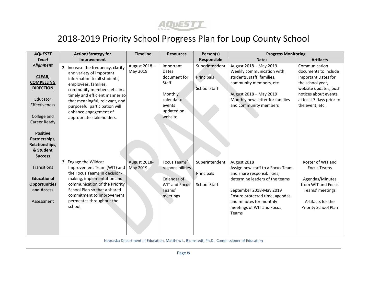

| <b>AQUESTT</b>                                                                                                            | <b>Action/Strategy for</b>                                                                                                                                                                                                                                                  | <b>Timeline</b>          | <b>Resources</b>                                                                   | Person(s)                                | <b>Progress Monitoring</b>                                                                                                                                   |                                                                                                                                         |
|---------------------------------------------------------------------------------------------------------------------------|-----------------------------------------------------------------------------------------------------------------------------------------------------------------------------------------------------------------------------------------------------------------------------|--------------------------|------------------------------------------------------------------------------------|------------------------------------------|--------------------------------------------------------------------------------------------------------------------------------------------------------------|-----------------------------------------------------------------------------------------------------------------------------------------|
| <b>Tenet</b>                                                                                                              | Improvement                                                                                                                                                                                                                                                                 |                          |                                                                                    | Responsible                              | <b>Dates</b>                                                                                                                                                 | <b>Artifacts</b>                                                                                                                        |
| <b>Alignment</b>                                                                                                          | 2. Increase the frequency, clarity                                                                                                                                                                                                                                          | August 2018-<br>May 2019 | Important<br>Dates                                                                 | Superintendent                           | August 2018 - May 2019<br>Weekly communication with                                                                                                          | Communication<br>documents to include                                                                                                   |
| <b>CLEAR,</b><br><b>COMPELLING</b><br><b>DIRECTION</b><br>Educator<br><b>Effectiveness</b><br>College and<br>Career Ready | and variety of important<br>information to all students,<br>employees, families,<br>community members, etc. in a<br>timely and efficient manner so<br>that meaningful, relevant, and<br>purposeful participation will<br>enhance engagement of<br>appropriate stakeholders. |                          | document for<br>Staff<br>Monthly<br>calendar of<br>events<br>updated on<br>website | <b>Principals</b><br><b>School Staff</b> | students, staff, families,<br>community members, etc.<br>August 2018 - May 2019<br>Monthly newsletter for families<br>and community members                  | Important Dates for<br>the school year,<br>website updates, push<br>notices about events<br>at least 7 days prior to<br>the event, etc. |
| <b>Positive</b><br>Partnerships,<br>Relationships,<br>& Student<br><b>Success</b>                                         |                                                                                                                                                                                                                                                                             |                          |                                                                                    |                                          |                                                                                                                                                              |                                                                                                                                         |
| <b>Transitions</b>                                                                                                        | 3. Engage the Wildcat<br>Improvement Team (WIT) and<br>the Focus Teams in decision-                                                                                                                                                                                         | August 2018-<br>May 2019 | Focus Teams'<br>responsibilities                                                   | Superintendent<br>Principals             | August 2018<br>Assign new staff to a Focus Team<br>and share responsibilities;                                                                               | Roster of WIT and<br><b>Focus Teams</b>                                                                                                 |
| <b>Educational</b><br><b>Opportunities</b><br>and Access<br>Assessment                                                    | making, implementation and<br>communication of the Priority<br>School Plan so that a shared<br>commitment to improvement<br>permeates throughout the<br>school.                                                                                                             |                          | Calendar of<br><b>WIT and Focus</b><br>Teams'<br>meetings                          | <b>School Staff</b>                      | determine leaders of the teams<br>September 2018-May 2019<br>Ensure protected time, agendas<br>and minutes for monthly<br>meetings of WIT and Focus<br>Teams | Agendas/Minutes<br>from WIT and Focus<br>Teams' meetings<br>Artifacts for the<br>Priority School Plan                                   |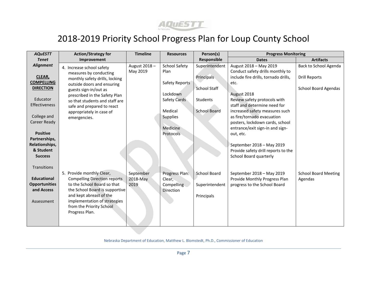

| <b>AQUESTT</b>                     | <b>Action/Strategy for</b>                                                                            | <b>Timeline</b>          | <b>Resources</b>               | Person(s)                       | <b>Progress Monitoring</b>                                                                       |                             |
|------------------------------------|-------------------------------------------------------------------------------------------------------|--------------------------|--------------------------------|---------------------------------|--------------------------------------------------------------------------------------------------|-----------------------------|
| <b>Tenet</b>                       | Improvement                                                                                           |                          |                                | Responsible                     | <b>Dates</b>                                                                                     | <b>Artifacts</b>            |
| <b>Alignment</b>                   | 4. Increase school safety<br>measures by conducting                                                   | August 2018-<br>May 2019 | <b>School Safety</b><br>Plan   | Superintendent                  | August 2018 - May 2019<br>Conduct safety drills monthly to                                       | Back to School Agenda       |
| CLEAR,<br><b>COMPELLING</b>        | monthly safety drills, locking<br>outside doors and ensuring                                          |                          | Safety Reports                 | Principals                      | include fire drills, tornado drills,<br>etc.                                                     | <b>Drill Reports</b>        |
| <b>DIRECTION</b>                   | guests sign-in/out as<br>prescribed in the Safety Plan                                                |                          | Lockdown                       | <b>School Staff</b>             | August 2018                                                                                      | <b>School Board Agendas</b> |
| Educator<br><b>Effectiveness</b>   | so that students and staff are<br>safe and prepared to react                                          |                          | Safety Cards<br>Medical        | Students<br><b>School Board</b> | Review safety protocols with<br>staff and determine need for<br>increased safety measures such   |                             |
| College and<br>Career Ready        | appropriately in case of<br>emergencies.                                                              |                          | Supplies<br>Medicine           |                                 | as fire/tornado evacuation<br>posters, lockdown cards, school<br>entrance/exit sign-in and sign- |                             |
| <b>Positive</b><br>Partnerships,   |                                                                                                       |                          | Protocols                      |                                 | out, etc.                                                                                        |                             |
| Relationships,<br>& Student        |                                                                                                       |                          |                                |                                 | September 2018 - May 2019<br>Provide safety drill reports to the                                 |                             |
| <b>Success</b>                     |                                                                                                       |                          |                                |                                 | <b>School Board quarterly</b>                                                                    |                             |
| Transitions                        | 5. Provide monthly Clear,                                                                             | September                | Progress Plan:                 | School Board                    | September 2018 - May 2019                                                                        | <b>School Board Meeting</b> |
| <b>Educational</b>                 | <b>Compelling Direction reports</b>                                                                   | 2018-May                 | Clear,                         |                                 | Provide Monthly Progress Plan                                                                    | Agendas                     |
| <b>Opportunities</b><br>and Access | to the School Board so that<br>the School Board is supportive                                         | 2019                     | Compelling<br><b>Direction</b> | Superintendent                  | progress to the School Board                                                                     |                             |
| Assessment                         | and kept abreast of the<br>implementation of strategies<br>from the Priority School<br>Progress Plan. |                          |                                | Principals                      |                                                                                                  |                             |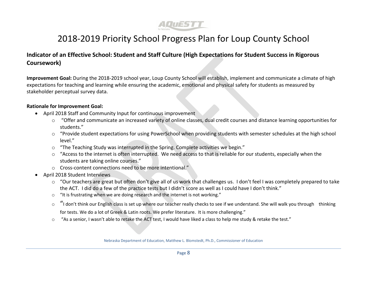

#### **Indicator of an Effective School: Student and Staff Culture (High Expectations for Student Success in Rigorous Coursework)**

**Improvement Goal:** During the 2018-2019 school year, Loup County School will establish, implement and communicate a climate of high expectations for teaching and learning while ensuring the academic, emotional and physical safety for students as measured by stakeholder perceptual survey data.

#### **Rationale for Improvement Goal:**

- April 2018 Staff and Community Input for continuous improvement
	- o "Offer and communicate an increased variety of online classes, dual credit courses and distance learning opportunities for students."
	- o "Provide student expectations for using PowerSchool when providing students with semester schedules at the high school level."
	- o "The Teaching Study was interrupted in the Spring. Complete activities we begin."
	- o "Access to the internet is often interrupted. We need access to that is reliable for our students, especially when the students are taking online courses."
	- o Cross-content connections need to be more intentional."
- April 2018 Student Interviews
	- o "Our teachers are great but often don't give all of us work that challenges us. I don't feel I was completely prepared to take the ACT. I did do a few of the practice tests but I didn't score as well as I could have I don't think."
	- o "It is frustrating when we are doing research and the internet is not working."
	- $\circ$  "I don't think our English class is set up where our teacher really checks to see if we understand. She will walk you through thinking for tests. We do a lot of Greek & Latin roots. We prefer literature. It is more challenging."
	- $\circ$  "As a senior, I wasn't able to retake the ACT test, I would have liked a class to help me study & retake the test."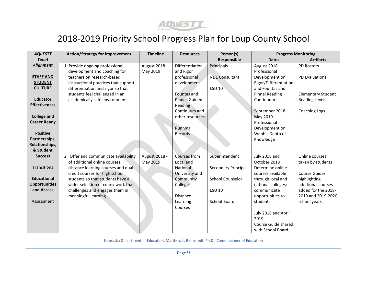

| <b>AQUESTT</b>       | <b>Action/Strategy for Improvement</b> | <b>Timeline</b> | <b>Resources</b>      | Person(s)               | <b>Progress Monitoring</b> |                           |
|----------------------|----------------------------------------|-----------------|-----------------------|-------------------------|----------------------------|---------------------------|
| <b>Tenet</b>         |                                        |                 |                       | Responsible             | <b>Dates</b>               | <b>Artifacts</b>          |
| <b>Alignment</b>     | 1. Provide ongoing professional        | August 2018 -   | Differentiation       | Principals              | August 2018                | PD Rosters                |
|                      | development and coaching for           | May 2019        | and Rigor             |                         | Professional               |                           |
| <b>STAFF AND</b>     | teachers on research-based             |                 | professional          | <b>NDE Consultant</b>   | Development on             | <b>PD Evaluations</b>     |
| <b>STUDENT</b>       | instructional practices that support   |                 | development           |                         | Rigor/Differentiation      |                           |
| <b>CULTURE</b>       | differentiation and rigor so that      |                 |                       | <b>ESU 10</b>           | and Fountas and            |                           |
|                      | students feel challenged in an         |                 | Fountas and           |                         | <b>Pinnel Reading</b>      | <b>Elementary Student</b> |
| <b>Educator</b>      | academically safe environment.         |                 | <b>Pinnell Guided</b> |                         | Continuum                  | <b>Reading Levels</b>     |
| <b>Effectiveness</b> |                                        |                 | Reading               |                         |                            |                           |
|                      |                                        |                 | Continuum and         |                         | September 2018-            | Coaching Logs             |
| <b>College and</b>   |                                        |                 | other resources       |                         | May 2019                   |                           |
| <b>Career Ready</b>  |                                        |                 |                       |                         | Professional               |                           |
|                      |                                        |                 | Running               |                         | Development on             |                           |
| <b>Positive</b>      |                                        |                 | Records               |                         | Webb's Depth of            |                           |
| Partnerships,        |                                        |                 |                       |                         | Knowledge                  |                           |
| Relationships,       |                                        |                 |                       |                         |                            |                           |
| & Student            |                                        |                 |                       |                         |                            |                           |
| <b>Success</b>       | 2. Offer and communicate availability  | August 2018 -   | Courses from          | Superintendent          | July 2018 and              | Online courses            |
|                      | of additional online courses,          | May 2019        | Local and             |                         | October 2018               | taken by students         |
| Transitions          | distance learning courses and dual     |                 | National              | Secondary Principal     | Determine online           |                           |
|                      | credit courses for high school         |                 | University and        |                         | courses available          | <b>Course Guides</b>      |
| <b>Educational</b>   | students so that students have a       |                 | Community             | <b>School Counselor</b> | through local and          | highlighting              |
| <b>Opportunities</b> | wider selection of coursework that     |                 | Colleges              |                         | national colleges;         | additional courses        |
| and Access           | challenges and engages them in         |                 |                       | <b>ESU 10</b>           | communicate                | added for the 2018-       |
|                      | meaningful learning.                   |                 | Distance              |                         | opportunities to           | 2019 and 2019-2020        |
| Assessment           |                                        |                 | Learning              | <b>School Board</b>     | students                   | school years              |
|                      |                                        |                 | Courses               |                         |                            |                           |
|                      |                                        |                 |                       |                         | July 2018 and April        |                           |
|                      |                                        |                 |                       |                         | 2019                       |                           |
|                      |                                        |                 |                       |                         | Course Guide shared        |                           |
|                      |                                        |                 |                       |                         | with School Board          |                           |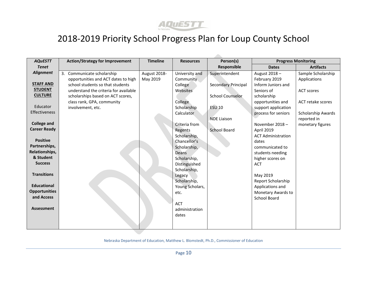

| <b>AQuESTT</b>       | <b>Action/Strategy for Improvement</b> | <b>Timeline</b> | <b>Resources</b> | Person(s)                  |                           | <b>Progress Monitoring</b> |
|----------------------|----------------------------------------|-----------------|------------------|----------------------------|---------------------------|----------------------------|
| <b>Tenet</b>         |                                        |                 |                  | Responsible                | <b>Dates</b>              | <b>Artifacts</b>           |
| <b>Alignment</b>     | 3. Communicate scholarship             | August 2018-    | University and   | Superintendent             | August 2018-              | Sample Scholarship         |
|                      | opportunities and ACT dates to high    | May 2019        | <b>Community</b> |                            | February 2019             | Applications               |
| <b>STAFF AND</b>     | school students so that students       |                 | College          | <b>Secondary Principal</b> | Inform Juniors and        |                            |
| <b>STUDENT</b>       | understand the criteria for available  |                 | Websites         |                            | Seniors of                | <b>ACT scores</b>          |
| <b>CULTURE</b>       | scholarships based on ACT scores,      |                 |                  | <b>School Counselor</b>    | scholarship               |                            |
|                      | class rank, GPA, community             |                 | College          |                            | opportunities and         | ACT retake scores          |
| Educator             | involvement, etc.                      |                 | Scholarship      | <b>ESU 10</b>              | support application       |                            |
| <b>Effectiveness</b> |                                        |                 | Calculator       |                            | process for seniors       | <b>Scholarship Awards</b>  |
|                      |                                        |                 |                  | <b>NDE Liaison</b>         |                           | reported in                |
| <b>College and</b>   |                                        |                 | Criteria from    |                            | November 2018-            | monetary figures           |
| <b>Career Ready</b>  |                                        |                 | Regents          | <b>School Board</b>        | April 2019                |                            |
|                      |                                        |                 | Scholarship,     |                            | <b>ACT Administration</b> |                            |
| <b>Positive</b>      |                                        |                 | Chancellor's     |                            | dates                     |                            |
| Partnerships,        |                                        |                 | Scholarship,     |                            | communicated to           |                            |
| Relationships,       |                                        |                 | Deans            |                            | students needing          |                            |
| & Student            |                                        |                 | Scholarship,     |                            | higher scores on          |                            |
| <b>Success</b>       |                                        |                 | Distinguished    |                            | <b>ACT</b>                |                            |
|                      |                                        |                 | Scholarship,     |                            |                           |                            |
| <b>Transitions</b>   |                                        |                 | Legacy           |                            | May 2019                  |                            |
|                      |                                        |                 | Scholarship,     |                            | Report Scholarship        |                            |
| <b>Educational</b>   |                                        |                 | Young Scholars,  |                            | Applications and          |                            |
| <b>Opportunities</b> |                                        |                 | etc.             |                            | Monetary Awards to        |                            |
| and Access           |                                        |                 |                  |                            | <b>School Board</b>       |                            |
|                      |                                        |                 | <b>ACT</b>       |                            |                           |                            |
| <b>Assessment</b>    |                                        |                 | administration   |                            |                           |                            |
|                      |                                        |                 | dates            |                            |                           |                            |
|                      |                                        |                 |                  |                            |                           |                            |
|                      |                                        |                 |                  |                            |                           |                            |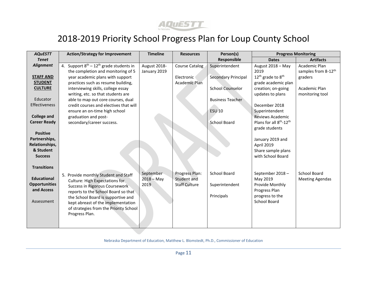

| <b>AQuESTT</b>       | <b>Action/Strategy for Improvement</b>          | <b>Timeline</b> | <b>Resources</b>      | Person(s)                  |                                                 | <b>Progress Monitoring</b>      |
|----------------------|-------------------------------------------------|-----------------|-----------------------|----------------------------|-------------------------------------------------|---------------------------------|
| <b>Tenet</b>         |                                                 |                 |                       | Responsible                | <b>Dates</b>                                    | <b>Artifacts</b>                |
| <b>Alignment</b>     | 4. Support $8^{th} - 12^{th}$ grade students in | August 2018-    | <b>Course Catalog</b> | Superintendent             | August 2018 - May                               | Academic Plan                   |
|                      | the completion and monitoring of 5              | January 2019    |                       |                            | 2019                                            | samples from 8-12 <sup>th</sup> |
| <b>STAFF AND</b>     | year academic plans with support                |                 | Electronic            | <b>Secondary Principal</b> | 12 <sup>th</sup> grade to 8 <sup>th</sup>       | graders                         |
| <b>STUDENT</b>       | practices such as resume building,              |                 | <b>Academic Plan</b>  |                            | grade academic plan                             |                                 |
| <b>CULTURE</b>       | interviewing skills, college essay              |                 |                       | <b>School Counselor</b>    | creation; on-going                              | Academic Plan                   |
|                      | writing, etc. so that students are              |                 |                       |                            | updates to plans                                | monitoring tool                 |
| Educator             | able to map out core courses, dual              |                 |                       | <b>Business Teacher</b>    |                                                 |                                 |
| <b>Effectiveness</b> | credit courses and electives that will          |                 |                       |                            | December 2018                                   |                                 |
|                      | ensure an on-time high school                   |                 |                       | <b>ESU 10</b>              | Superintendent                                  |                                 |
| <b>College and</b>   | graduation and post-                            |                 |                       |                            | <b>Reviews Academic</b>                         |                                 |
| <b>Career Ready</b>  | secondary/career success.                       |                 |                       | School Board               | Plans for all 8 <sup>th</sup> -12 <sup>th</sup> |                                 |
|                      |                                                 |                 |                       |                            | grade students                                  |                                 |
| <b>Positive</b>      |                                                 |                 |                       |                            |                                                 |                                 |
| Partnerships,        |                                                 |                 |                       |                            | January 2019 and                                |                                 |
| Relationships,       |                                                 |                 |                       |                            | April 2019                                      |                                 |
| & Student            |                                                 |                 |                       |                            | Share sample plans                              |                                 |
| <b>Success</b>       |                                                 |                 |                       |                            | with School Board                               |                                 |
|                      |                                                 |                 |                       |                            |                                                 |                                 |
| <b>Transitions</b>   |                                                 |                 |                       |                            |                                                 |                                 |
|                      | 5. Provide monthly Student and Staff            | September       | Progress Plan:        | <b>School Board</b>        | September 2018-                                 | School Board                    |
| <b>Educational</b>   | <b>Culture: High Expectations for</b>           | $2018 - May$    | Student and           |                            | May 2019                                        | <b>Meeting Agendas</b>          |
| <b>Opportunities</b> | Success in Rigorous Coursework                  | 2019            | <b>Staff Culture</b>  | Superintendent             | Provide Monthly                                 |                                 |
| and Access           | reports to the School Board so that             |                 |                       |                            | Progress Plan                                   |                                 |
|                      | the School Board is supportive and              |                 |                       | Principals                 | progress to the                                 |                                 |
| Assessment           | kept abreast of the implementation              |                 |                       |                            | School Board                                    |                                 |
|                      | of strategies from the Priority School          |                 |                       |                            |                                                 |                                 |
|                      | Progress Plan.                                  |                 |                       |                            |                                                 |                                 |
|                      |                                                 |                 |                       |                            |                                                 |                                 |
|                      |                                                 |                 |                       |                            |                                                 |                                 |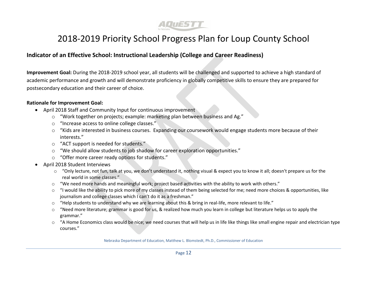

#### **Indicator of an Effective School: Instructional Leadership (College and Career Readiness)**

**Improvement Goal:** During the 2018-2019 school year, all students will be challenged and supported to achieve a high standard of academic performance and growth and will demonstrate proficiency in globally competitive skills to ensure they are prepared for postsecondary education and their career of choice.

#### **Rationale for Improvement Goal:**

- April 2018 Staff and Community Input for continuous improvement
	- o "Work together on projects; example: marketing plan between business and Ag."
	- o "Increase access to online college classes."
	- o "Kids are interested in business courses. Expanding our coursework would engage students more because of their interests."
	- o "ACT support is needed for students."
	- o "We should allow students to job shadow for career exploration opportunities."
	- o "Offer more career ready options for students."
- April 2018 Student Interviews
	- o "Only lecture, not fun, talk at you, we don't understand it, nothing visual & expect you to know it all; doesn't prepare us for the real world in some classes."
	- $\circ$  "We need more hands and meaningful work; project based activities with the ability to work with others."
	- $\circ$  "I would like the ability to pick more of my classes instead of them being selected for me; need more choices & opportunities, like journalism and college classes which I can't do it as a freshman."
	- o "Help students to understand why we are learning about this & bring in real-life, more relevant to life."
	- $\circ$  "Need more literature; grammar is good for us, & realized how much you learn in college but literature helps us to apply the grammar."
	- $\circ$  "A Home Economics class would be nice; we need courses that will help us in life like things like small engine repair and electrician type courses."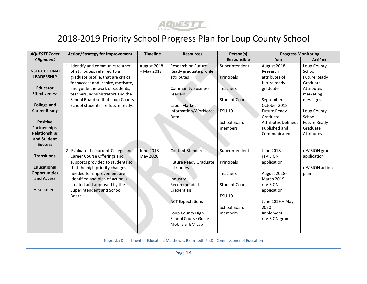

| <b>AQuESTT Tenet</b> | <b>Action/Strategy for Improvement</b> | <b>Timeline</b> | <b>Resources</b>             | Person(s)              | <b>Progress Monitoring</b> |                     |
|----------------------|----------------------------------------|-----------------|------------------------------|------------------------|----------------------------|---------------------|
| Alignment            |                                        |                 |                              | Responsible            | <b>Dates</b>               | <b>Artifacts</b>    |
|                      | 1. Identify and communicate a set      | August 2018     | Research on Future           | Superintendent         | August 2018                | Loup County         |
| <b>INSTRUCTIONAL</b> | of attributes, referred to a           | $-$ May 2019    | Ready graduate profile       |                        | Research                   | School              |
| <b>LEADERSHIP</b>    | graduate profile, that are critical    |                 | attributes                   | Principals             | attributes of              | <b>Future Ready</b> |
|                      | for success and inspire, motivate,     |                 |                              |                        | future ready               | Graduate            |
| <b>Educator</b>      | and guide the work of students,        |                 | <b>Community Business</b>    | <b>Teachers</b>        | graduate                   | Attributes          |
| <b>Effectiveness</b> | teachers, administrators and the       |                 | Leaders                      |                        |                            | marketing           |
|                      | School Board so that Loup County       |                 |                              | <b>Student Council</b> | September-                 | messages            |
| <b>College and</b>   | School students are future ready.      |                 | Labor Market                 |                        | October 2018               |                     |
| <b>Career Ready</b>  |                                        |                 | Information/Workforce        | ESU 10                 | Future Ready               | Loup County         |
|                      |                                        |                 | Data                         |                        | Graduate                   | School              |
| <b>Positive</b>      |                                        |                 |                              | School Board           | Attributes Defined,        | <b>Future Ready</b> |
| Partnerships,        |                                        |                 |                              | members                | Published and              | Graduate            |
| <b>Relationships</b> |                                        |                 |                              |                        | Communicated               | Attributes          |
| and Student          |                                        |                 |                              |                        |                            |                     |
| <b>Success</b>       |                                        |                 |                              |                        |                            |                     |
|                      | 2. Evaluate the current College and    | June 2018-      | <b>Content Standards</b>     | Superintendent         | <b>June 2018</b>           | reVISION grant      |
| <b>Transitions</b>   | Career Course Offerings and            | May 2020        |                              |                        | reVISION                   | application         |
|                      | supports provided to students so       |                 | <b>Future Ready Graduate</b> | Principals             | application                |                     |
| <b>Educational</b>   | that the high priority changes         |                 | attributes                   |                        |                            | reVISION action     |
| <b>Opportunities</b> | needed for improvement are             |                 |                              | Teachers               | August 2018-               | plan                |
| and Access           | identified and plan of action is       |                 | Industry                     |                        | <b>March 2019</b>          |                     |
|                      | created and approved by the            |                 | Recommended                  | <b>Student Council</b> | reVISION                   |                     |
| Assessment           | Superintendent and School              |                 | Credentials                  |                        | application                |                     |
|                      | Board.                                 |                 |                              | <b>ESU 10</b>          |                            |                     |
|                      |                                        |                 | <b>ACT Expectations</b>      |                        | June 2019 - May            |                     |
|                      |                                        |                 |                              | School Board           | 2020                       |                     |
|                      |                                        |                 | Loup County High             | members                | Implement                  |                     |
|                      |                                        |                 | <b>School Course Guide</b>   |                        | reVISION grant             |                     |
|                      |                                        |                 | Mobile STEM Lab              |                        |                            |                     |
|                      |                                        |                 |                              |                        |                            |                     |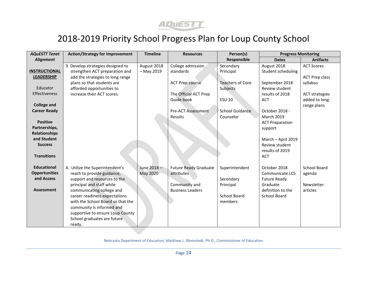

| <b>AQuESTT Tenet</b>                                                                                                  | <b>Action/Strategy for Improvement</b>                                                                                                                                                                                                                                                                                                  | <b>Timeline</b>        | <b>Resources</b>                                                                       | Person(s)                                                           | <b>Progress Monitoring</b>                                                                                                                                 |                                                         |
|-----------------------------------------------------------------------------------------------------------------------|-----------------------------------------------------------------------------------------------------------------------------------------------------------------------------------------------------------------------------------------------------------------------------------------------------------------------------------------|------------------------|----------------------------------------------------------------------------------------|---------------------------------------------------------------------|------------------------------------------------------------------------------------------------------------------------------------------------------------|---------------------------------------------------------|
| <b>Alignment</b>                                                                                                      |                                                                                                                                                                                                                                                                                                                                         |                        |                                                                                        | Responsible                                                         | <b>Dates</b>                                                                                                                                               | <b>Artifacts</b>                                        |
|                                                                                                                       | 3. Develop strategies designed to                                                                                                                                                                                                                                                                                                       | August 2018            | College admission                                                                      | Secondary                                                           | August 2018                                                                                                                                                | <b>ACT Scores</b>                                       |
| <b>INSTRUCTIONAL</b>                                                                                                  | strengthen ACT preparation and                                                                                                                                                                                                                                                                                                          | $-$ May 2019           | standards                                                                              | Principal                                                           | Student scheduling                                                                                                                                         |                                                         |
| <b>LEADERSHIP</b>                                                                                                     | add the strategies to long range                                                                                                                                                                                                                                                                                                        |                        |                                                                                        |                                                                     |                                                                                                                                                            | <b>ACT Prep class</b>                                   |
|                                                                                                                       | plans so that students are                                                                                                                                                                                                                                                                                                              |                        | <b>ACT Prep course</b>                                                                 | <b>Teachers of Core</b>                                             | September 2018                                                                                                                                             | syllabus                                                |
| Educator                                                                                                              | afforded opportunities to                                                                                                                                                                                                                                                                                                               |                        |                                                                                        | Subjects                                                            | Review student                                                                                                                                             |                                                         |
| <b>Effectiveness</b>                                                                                                  | increase their ACT scores.                                                                                                                                                                                                                                                                                                              |                        | The Official ACT Prep                                                                  |                                                                     | results of 2018                                                                                                                                            | <b>ACT strategies</b>                                   |
|                                                                                                                       |                                                                                                                                                                                                                                                                                                                                         |                        | Guide book                                                                             | <b>ESU 10</b>                                                       | <b>ACT</b>                                                                                                                                                 | added to long                                           |
| <b>College and</b>                                                                                                    |                                                                                                                                                                                                                                                                                                                                         |                        |                                                                                        |                                                                     |                                                                                                                                                            | range plans                                             |
| <b>Career Ready</b>                                                                                                   |                                                                                                                                                                                                                                                                                                                                         |                        | <b>Pre-ACT Assessment</b>                                                              | <b>School Guidance</b>                                              | October 2018 -                                                                                                                                             |                                                         |
|                                                                                                                       |                                                                                                                                                                                                                                                                                                                                         |                        | Results                                                                                | Counselor                                                           | <b>March 2019</b>                                                                                                                                          |                                                         |
| <b>Positive</b>                                                                                                       |                                                                                                                                                                                                                                                                                                                                         |                        |                                                                                        |                                                                     | <b>ACT Preparation</b>                                                                                                                                     |                                                         |
| Partnerships,                                                                                                         |                                                                                                                                                                                                                                                                                                                                         |                        |                                                                                        |                                                                     | support                                                                                                                                                    |                                                         |
| <b>Relationships</b>                                                                                                  |                                                                                                                                                                                                                                                                                                                                         |                        |                                                                                        |                                                                     |                                                                                                                                                            |                                                         |
| and Student                                                                                                           |                                                                                                                                                                                                                                                                                                                                         |                        |                                                                                        |                                                                     | March - April 2019                                                                                                                                         |                                                         |
|                                                                                                                       |                                                                                                                                                                                                                                                                                                                                         |                        |                                                                                        |                                                                     |                                                                                                                                                            |                                                         |
|                                                                                                                       |                                                                                                                                                                                                                                                                                                                                         |                        |                                                                                        |                                                                     |                                                                                                                                                            |                                                         |
|                                                                                                                       |                                                                                                                                                                                                                                                                                                                                         |                        |                                                                                        |                                                                     |                                                                                                                                                            |                                                         |
|                                                                                                                       |                                                                                                                                                                                                                                                                                                                                         |                        |                                                                                        |                                                                     |                                                                                                                                                            |                                                         |
|                                                                                                                       |                                                                                                                                                                                                                                                                                                                                         |                        |                                                                                        |                                                                     |                                                                                                                                                            |                                                         |
|                                                                                                                       |                                                                                                                                                                                                                                                                                                                                         |                        |                                                                                        |                                                                     |                                                                                                                                                            |                                                         |
|                                                                                                                       |                                                                                                                                                                                                                                                                                                                                         |                        |                                                                                        |                                                                     |                                                                                                                                                            |                                                         |
|                                                                                                                       |                                                                                                                                                                                                                                                                                                                                         |                        |                                                                                        |                                                                     |                                                                                                                                                            |                                                         |
|                                                                                                                       |                                                                                                                                                                                                                                                                                                                                         |                        |                                                                                        |                                                                     |                                                                                                                                                            |                                                         |
|                                                                                                                       |                                                                                                                                                                                                                                                                                                                                         |                        |                                                                                        |                                                                     |                                                                                                                                                            |                                                         |
|                                                                                                                       |                                                                                                                                                                                                                                                                                                                                         |                        |                                                                                        |                                                                     |                                                                                                                                                            |                                                         |
|                                                                                                                       |                                                                                                                                                                                                                                                                                                                                         |                        |                                                                                        |                                                                     |                                                                                                                                                            |                                                         |
|                                                                                                                       |                                                                                                                                                                                                                                                                                                                                         |                        |                                                                                        |                                                                     |                                                                                                                                                            |                                                         |
|                                                                                                                       |                                                                                                                                                                                                                                                                                                                                         |                        |                                                                                        |                                                                     |                                                                                                                                                            |                                                         |
| <b>Success</b><br><b>Transitions</b><br><b>Educational</b><br><b>Opportunities</b><br>and Access<br><b>Assessment</b> | 4. Utilize the Superintendent's<br>reach to provide guidance,<br>support and resources to the<br>principal and staff while<br>communicating college and<br>career readiness expectations<br>with the School Board so that the<br>community is informed and<br>supportive to ensure Loup County<br>School graduates are future<br>ready. | June 2018-<br>May 2020 | <b>Future Ready Graduate</b><br>attributes<br>Community and<br><b>Business Leaders</b> | Superintendent<br>Secondary<br>Principal<br>School Board<br>members | Review student<br>results of 2019<br><b>ACT</b><br>October 2018<br>Communicate LCS<br><b>Future Ready</b><br>Graduate<br>definition to the<br>School Board | <b>School Board</b><br>agenda<br>Newsletter<br>articles |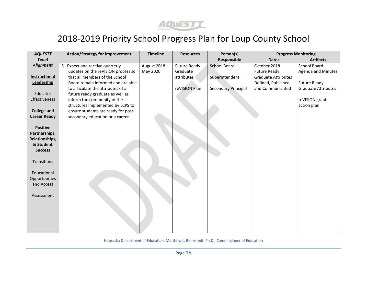

| <b>AQUESTT</b>       | <b>Action/Strategy for Improvement</b> | <b>Timeline</b> | <b>Resources</b>    | Person(s)                  |                            | <b>Progress Monitoring</b> |
|----------------------|----------------------------------------|-----------------|---------------------|----------------------------|----------------------------|----------------------------|
| <b>Tenet</b>         |                                        |                 |                     | Responsible                | <b>Dates</b>               | <b>Artifacts</b>           |
| <b>Alignment</b>     | 5. Expect and receive quarterly        | August 2018 -   | <b>Future Ready</b> | <b>School Board</b>        | October 2018               | School Board               |
|                      | updates on the reVISION process so     | May 2020        | Graduate            |                            | <b>Future Ready</b>        | <b>Agenda and Minutes</b>  |
| <b>Instructional</b> | that all members of the School         |                 | attributes          | Superintendent             | <b>Graduate Attributes</b> |                            |
| Leadership           | Board remain informed and are able     |                 |                     |                            | Defined, Published         | <b>Future Ready</b>        |
|                      | to articulate the attributes of a      |                 | reVISION Plan       | <b>Secondary Principal</b> | and Communicated           | <b>Graduate Attributes</b> |
| Educator             | future ready graduate as well as       |                 |                     |                            |                            |                            |
| Effectiveness        | inform the community of the            |                 |                     |                            |                            | reVISION grant             |
|                      | structures implemented by LCPS to      |                 |                     |                            |                            | action plan                |
| <b>College and</b>   | ensure students are ready for post-    |                 |                     |                            |                            |                            |
| <b>Career Ready</b>  | secondary education or a career.       |                 |                     |                            |                            |                            |
|                      |                                        |                 |                     |                            |                            |                            |
| <b>Positive</b>      |                                        |                 |                     |                            |                            |                            |
| Partnerships,        |                                        |                 |                     |                            |                            |                            |
| Relationships,       |                                        |                 |                     |                            |                            |                            |
| & Student            |                                        |                 |                     |                            |                            |                            |
| <b>Success</b>       |                                        |                 |                     |                            |                            |                            |
|                      |                                        |                 |                     |                            |                            |                            |
| Transitions          |                                        |                 |                     |                            |                            |                            |
|                      |                                        |                 |                     |                            |                            |                            |
| Educational          |                                        |                 |                     |                            |                            |                            |
| Opportunities        |                                        |                 |                     |                            |                            |                            |
| and Access           |                                        |                 |                     |                            |                            |                            |
|                      |                                        |                 |                     |                            |                            |                            |
| Assessment           |                                        |                 |                     |                            |                            |                            |
|                      |                                        |                 |                     |                            |                            |                            |
|                      |                                        |                 |                     |                            |                            |                            |
|                      |                                        |                 |                     |                            |                            |                            |
|                      |                                        |                 |                     |                            |                            |                            |
|                      |                                        |                 |                     |                            |                            |                            |
|                      |                                        |                 |                     |                            |                            |                            |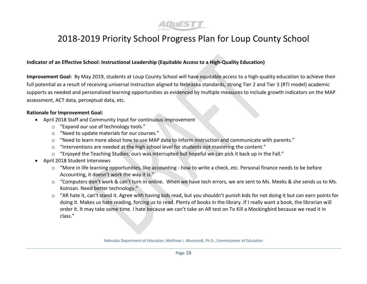

#### **Indicator of an Effective School: Instructional Leadership (Equitable Access to a High-Quality Education)**

**Improvement Goal:** By May 2019, students at Loup County School will have equitable access to a high-quality education to achieve their full potential as a result of receiving universal instruction aligned to Nebraska standards, strong Tier 2 and Tier 3 (RTI model) academic supports as needed and personalized learning opportunities as evidenced by multiple measures to include growth indicators on the MAP assessment, ACT data, perceptual data, etc.

#### **Rationale for Improvement Goal:**

- April 2018 Staff and Community Input for continuous improvement
	- o "Expand our use of technology tools."
	- o "Need to update materials for our courses."
	- o "Need to learn more about how to use MAP data to inform instruction and communicate with parents."
	- o "Interventions are needed at the high school level for students not mastering the content."
	- $\circ$  "Enjoyed the Teaching Studies; ours was interrupted but hopeful we can pick it back up in the Fall."
- April 2018 Student Interviews
	- o "More in life learning opportunities, like accounting how to write a check, etc. Personal finance needs to be before Accounting, it doesn't work the way it is."
	- o "Computers don't work & can't turn in online. When we have tech errors, we are sent to Ms. Meeks & she sends us to Ms. Koinzan. Need better technology."
	- $\circ$  "AR hate it, can't stand it. Agree with having kids read, but you shouldn't punish kids for not doing it but can earn points for doing it. Makes us hate reading, forcing us to read. Plenty of books in the library. If I really want a book, the librarian will order it. It may take some time. I hate because we can't take an AR test on To Kill a Mockingbird because we read it in class."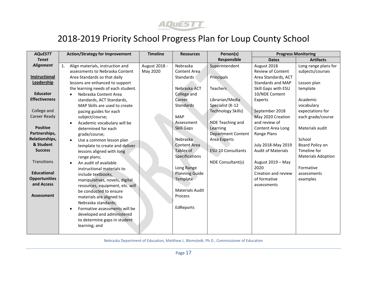

| <b>AQuESTT</b>       | <b>Action/Strategy for Improvement</b>             | <b>Timeline</b> | <b>Resources</b>       | Person(s)                 |                           | <b>Progress Monitoring</b> |
|----------------------|----------------------------------------------------|-----------------|------------------------|---------------------------|---------------------------|----------------------------|
| <b>Tenet</b>         |                                                    |                 |                        | Responsible               | <b>Dates</b>              | <b>Artifacts</b>           |
| <b>Alignment</b>     | $\mathbf{1}$ .<br>Align materials, instruction and | August 2018 -   | Nebraska               | Superintendent            | August 2018               | Long range plans for       |
|                      | assessments to Nebraska Content                    | May 2020        | Content Area           |                           | <b>Review of Content</b>  | subjects/courses           |
| Instructional        | Area Standards so that daily                       |                 | <b>Standards</b>       | Principals                | Area Standards, ACT       |                            |
| Leadership           | lessons are enhanced to support                    |                 |                        |                           | <b>Standards and MAP</b>  | Lesson plan                |
|                      | the learning needs of each student.                |                 | Nebraska ACT           | <b>Teachers</b>           | Skill Gaps with ESU       | template                   |
| <b>Educator</b>      | Nebraska Content Area<br>$\bullet$                 |                 | College and            |                           | 10/NDE Content            |                            |
| <b>Effectiveness</b> | standards, ACT Standards,                          |                 | Career                 | Librarian/Media           | Experts                   | Academic                   |
|                      | MAP Skills are used to create                      |                 | Standards              | Specialist (K-12          |                           | vocabulary                 |
| College and          | pacing guides for each                             |                 |                        | <b>Technology Skills)</b> | September 2018            | expectations for           |
| <b>Career Ready</b>  | subject/course;                                    |                 | <b>MAP</b>             |                           | May 2020 Creation         | each grade/course          |
|                      | Academic vocabulary will be<br>$\bullet$           |                 | Assessment             | NDE Teaching and          | and review of             |                            |
| <b>Positive</b>      | determined for each                                |                 | <b>Skill Gaps</b>      | Learning                  | Content Area Long         | Materials audit            |
| Partnerships,        | grade/course;                                      |                 |                        | <b>Department Content</b> | Range Plans               |                            |
| Relationships,       | Use a common lesson plan<br>$\bullet$              |                 | Nebraska               | Area Experts              |                           | School                     |
| & Student            | template to create and deliver                     |                 | <b>Content Area</b>    |                           | July 2018-May 2019        | Board Policy on            |
| <b>Success</b>       | lessons aligned with long                          |                 | Tables of              | <b>ESU 10 Consultants</b> | <b>Audit of Materials</b> | Timeline for               |
|                      | range plans;                                       |                 | Specifications         |                           |                           | <b>Materials Adoption</b>  |
| <b>Transitions</b>   | An audit of available                              |                 |                        | NDE Consultant(s)         | August 2019 - May         |                            |
|                      | instructional materials to                         |                 | Long Range             |                           | 2020                      | Formative                  |
| <b>Educational</b>   | include textbooks,                                 |                 | <b>Planning Guide</b>  |                           | Creation and review       | assessments                |
| <b>Opportunities</b> | manipulatives, novels, digital                     |                 | Template               |                           | of formative              | examples                   |
| and Access           | resources, equipment, etc. will                    |                 |                        |                           | assessments               |                            |
|                      | be conducted to ensure                             |                 | <b>Materials Audit</b> |                           |                           |                            |
| <b>Assessment</b>    | materials are aligned to                           |                 | Process                |                           |                           |                            |
|                      | Nebraska standards;                                |                 |                        |                           |                           |                            |
|                      | Formative assessments will be<br>$\bullet$         |                 | EdReports              |                           |                           |                            |
|                      | developed and administered                         |                 |                        |                           |                           |                            |
|                      | to determine gaps in student                       |                 |                        |                           |                           |                            |
|                      | learning; and                                      |                 |                        |                           |                           |                            |
|                      |                                                    |                 |                        |                           |                           |                            |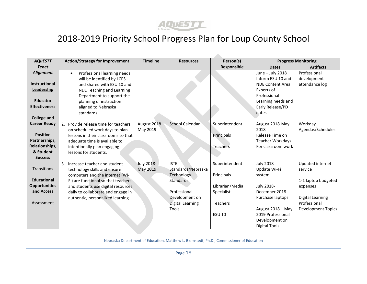

| <b>AQuESTT</b>       | <b>Action/Strategy for Improvement</b>   | <b>Timeline</b>   | <b>Resources</b>        | Person(s)       |                         | <b>Progress Monitoring</b> |
|----------------------|------------------------------------------|-------------------|-------------------------|-----------------|-------------------------|----------------------------|
| <b>Tenet</b>         |                                          |                   |                         | Responsible     | <b>Dates</b>            | <b>Artifacts</b>           |
| <b>Alignment</b>     | Professional learning needs<br>$\bullet$ |                   |                         |                 | June - July 2018        | Professional               |
|                      | will be identified by LCPS               |                   |                         |                 | Inform ESU 10 and       | development                |
| <b>Instructional</b> | and shared with ESU 10 and               |                   |                         |                 | <b>NDE Content Area</b> | attendance log             |
| Leadership           | NDE Teaching and Learning                |                   |                         |                 | Experts of              |                            |
|                      | Department to support the                |                   |                         |                 | Professional            |                            |
| <b>Educator</b>      | planning of instruction                  |                   |                         |                 | Learning needs and      |                            |
| <b>Effectiveness</b> | aligned to Nebraska                      |                   |                         |                 | Early Release/PD        |                            |
|                      | standards.                               |                   |                         |                 | dates                   |                            |
| <b>College and</b>   |                                          |                   |                         |                 |                         |                            |
| <b>Career Ready</b>  | 2. Provide release time for teachers     | August 2018-      | School Calendar         | Superintendent  | August 2018-May         | Workday                    |
|                      | on scheduled work days to plan           | May 2019          |                         |                 | 2018                    | Agendas/Schedules          |
| <b>Positive</b>      | lessons in their classrooms so that      |                   |                         | Principals      | Release Time on         |                            |
| Partnerships,        | adequate time is available to            |                   |                         |                 | <b>Teacher Workdays</b> |                            |
| Relationships,       | intentionally plan engaging              |                   |                         | Teachers        | For classroom work      |                            |
| & Student            | lessons for students.                    |                   |                         |                 |                         |                            |
| <b>Success</b>       |                                          |                   |                         |                 |                         |                            |
|                      | 3. Increase teacher and student          | <b>July 2018-</b> | <b>ISTE</b>             | Superintendent  | <b>July 2018</b>        | Updated internet           |
| <b>Transitions</b>   | technology skills and ensure             | May 2019          | Standards/Nebraska      |                 | Update Wi-Fi            | service                    |
|                      | computers and the internet (Wi-          |                   | Technology              | Principals      | system                  |                            |
| <b>Educational</b>   | Fi) are functional so that teachers      |                   | Standards               |                 |                         | 1-1 laptop budgeted        |
| <b>Opportunities</b> | and students use digital resources       |                   |                         | Librarian/Media | July 2018-              | expenses                   |
| and Access           | daily to collaborate and engage in       |                   | Professional            | Specialist      | December 2018           |                            |
|                      | authentic, personalized learning.        |                   | Development on          |                 | Purchase laptops        | Digital Learning           |
| Assessment           |                                          |                   | <b>Digital Learning</b> | Teachers        |                         | Professional               |
|                      |                                          |                   | Tools                   |                 | August 2018 - May       | <b>Development Topics</b>  |
|                      |                                          |                   |                         | <b>ESU 10</b>   | 2019 Professional       |                            |
|                      |                                          |                   |                         |                 | Development on          |                            |
|                      |                                          |                   |                         |                 | <b>Digital Tools</b>    |                            |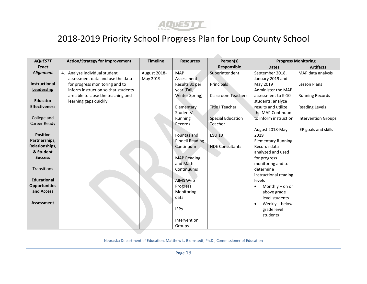

| <b>AQuESTT</b>       | <b>Action/Strategy for Improvement</b> | <b>Timeline</b><br><b>Resources</b> |                    | Person(s)                 | <b>Progress Monitoring</b>  |                            |
|----------------------|----------------------------------------|-------------------------------------|--------------------|---------------------------|-----------------------------|----------------------------|
| <b>Tenet</b>         |                                        |                                     |                    | Responsible               | <b>Dates</b>                | <b>Artifacts</b>           |
| <b>Alignment</b>     | 4. Analyze individual student          | August 2018-                        | <b>MAP</b>         | Superintendent            | September 2018,             | MAP data analysis          |
|                      | assessment data and use the data       | May 2019                            | Assessment         |                           | January 2019 and            |                            |
| Instructional        | for progress monitoring and to         |                                     | Results 3x per     | Principals                | May 2019                    | Lesson Plans               |
| Leadership           | inform instruction so that students    |                                     | year (Fall,        |                           | Administer the MAP          |                            |
|                      | are able to close the teaching and     |                                     | Winter Spring)     | <b>Classroom Teachers</b> | assessment to K-10          | <b>Running Records</b>     |
| <b>Educator</b>      | learning gaps quickly.                 |                                     |                    |                           | students; analyze           |                            |
| <b>Effectiveness</b> |                                        |                                     | Elementary         | <b>Title I Teacher</b>    | results and utilize         | Reading Levels             |
|                      |                                        |                                     | Students'          |                           | the MAP Continuum           |                            |
| College and          |                                        |                                     | Running            | <b>Special Education</b>  | to inform instruction       | <b>Intervention Groups</b> |
| <b>Career Ready</b>  |                                        |                                     | Records            | Teacher                   |                             |                            |
|                      |                                        |                                     |                    |                           | August 2018-May             | IEP goals and skills       |
| <b>Positive</b>      |                                        |                                     | Fountas and        | <b>ESU 10</b>             | 2019                        |                            |
| Partnerships,        |                                        |                                     | Pinnell Reading    |                           | <b>Elementary Running</b>   |                            |
| Relationships,       |                                        |                                     | Continuum          | <b>NDE Consultants</b>    | Records data                |                            |
| & Student            |                                        |                                     |                    |                           | analyzed and used           |                            |
| <b>Success</b>       |                                        |                                     | <b>MAP Reading</b> |                           | for progress                |                            |
|                      |                                        |                                     | and Math           |                           | monitoring and to           |                            |
| <b>Transitions</b>   |                                        |                                     | Continuums         |                           | determine                   |                            |
|                      |                                        |                                     |                    |                           | instructional reading       |                            |
| <b>Educational</b>   |                                        |                                     | AIMS Web           |                           | levels                      |                            |
| <b>Opportunities</b> |                                        |                                     | Progress           |                           | Monthly $-$ on or<br>٠      |                            |
| and Access           |                                        |                                     | Monitoring         |                           | above grade                 |                            |
|                      |                                        |                                     | data               |                           | level students              |                            |
| <b>Assessment</b>    |                                        |                                     |                    |                           | Weekly - below<br>$\bullet$ |                            |
|                      |                                        |                                     | <b>IEPs</b>        |                           | grade level                 |                            |
|                      |                                        |                                     |                    |                           | students                    |                            |
|                      |                                        |                                     | Intervention       |                           |                             |                            |
|                      |                                        |                                     | Groups             |                           |                             |                            |